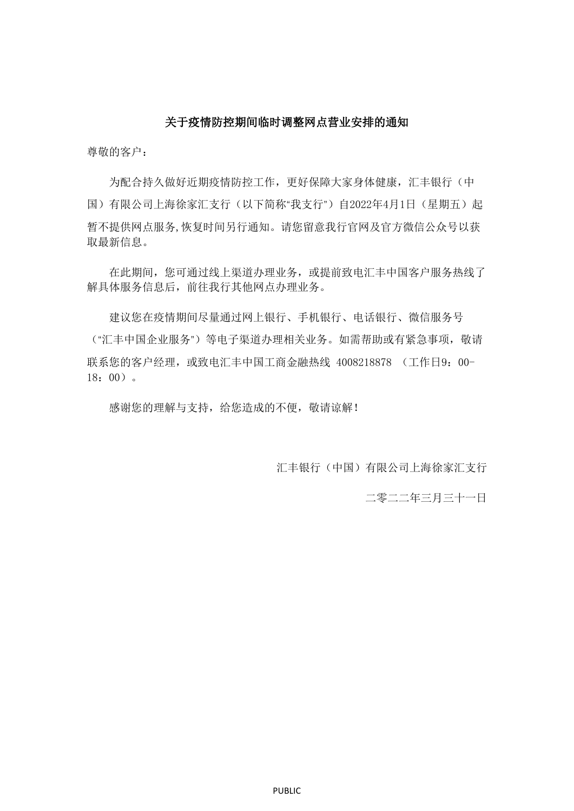## 关于疫情防控期间临时调整网点营业安排的通知

尊敬的客户:

为配合持久做好近期疫情防控工作,更好保障大家身体健康,汇丰银行(中 国)有限公司上海徐家汇支行(以下简称"我支行")自2022年4月1日(星期五)起 暂不提供网点服务,恢复时间另行通知。请您留意我行官网及官方微信公众号以获 取最新信息。

在此期间,您可通过线上渠道办理业务,或提前致电汇丰中国客户服务热线了 解具体服务信息后,前往我行其他网点办理业务。

建议您在疫情期间尽量通过网上银行、手机银行、电话银行、微信服务号 ("汇丰中国企业服务")等电子渠道办理相关业务。如需帮助或有紧急事项,敬请 联系您的客户经理,或致电汇丰中国工商金融热线 4008218878 (工作日9:00-18:00)。

感谢您的理解与支持,给您造成的不便,敬请谅解!

汇丰银行(中国)有限公司上海徐家汇支行

二零二二年三月三十一日